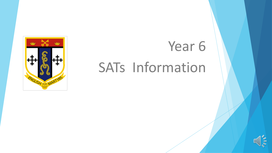

# Year 6 SATs Information

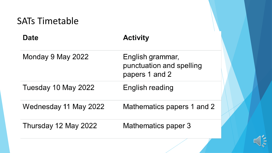| <b>SATs Timetable</b> |                                                                |
|-----------------------|----------------------------------------------------------------|
| <b>Date</b>           | <b>Activity</b>                                                |
| Monday 9 May 2022     | English grammar,<br>punctuation and spelling<br>papers 1 and 2 |
| Tuesday 10 May 2022   | English reading                                                |
| Wednesday 11 May 2022 | Mathematics papers 1 and 2                                     |
| Thursday 12 May 2022  | Mathematics paper 3                                            |

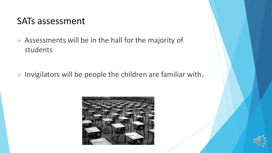#### SATs assessment

➢ Assessments will be in the hall for the majority of students

➢ Invigilators will be people the children are familiar with.



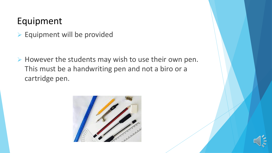### Equipment

➢ Equipment will be provided

➢ However the students may wish to use their own pen. This must be a handwriting pen and not a biro or a cartridge pen.



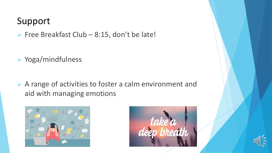## Support

➢ Free Breakfast Club – 8:15, don't be late!

➢ Yoga/mindfulness

➢ A range of activities to foster a calm environment and aid with managing emotions





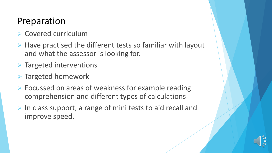### Preparation

- ➢ Covered curriculum
- ➢ Have practised the different tests so familiar with layout and what the assessor is looking for.
- ➢ Targeted interventions
- ➢ Targeted homework
- ➢ Focussed on areas of weakness for example reading comprehension and different types of calculations
- ➢ In class support, a range of mini tests to aid recall and improve speed.

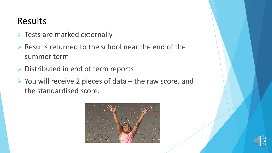## Results

- ➢ Tests are marked externally
- ➢ Results returned to the school near the end of the summer term
- ➢ Distributed in end of term reports
- ➢ You will receive 2 pieces of data the raw score, and the standardised score.